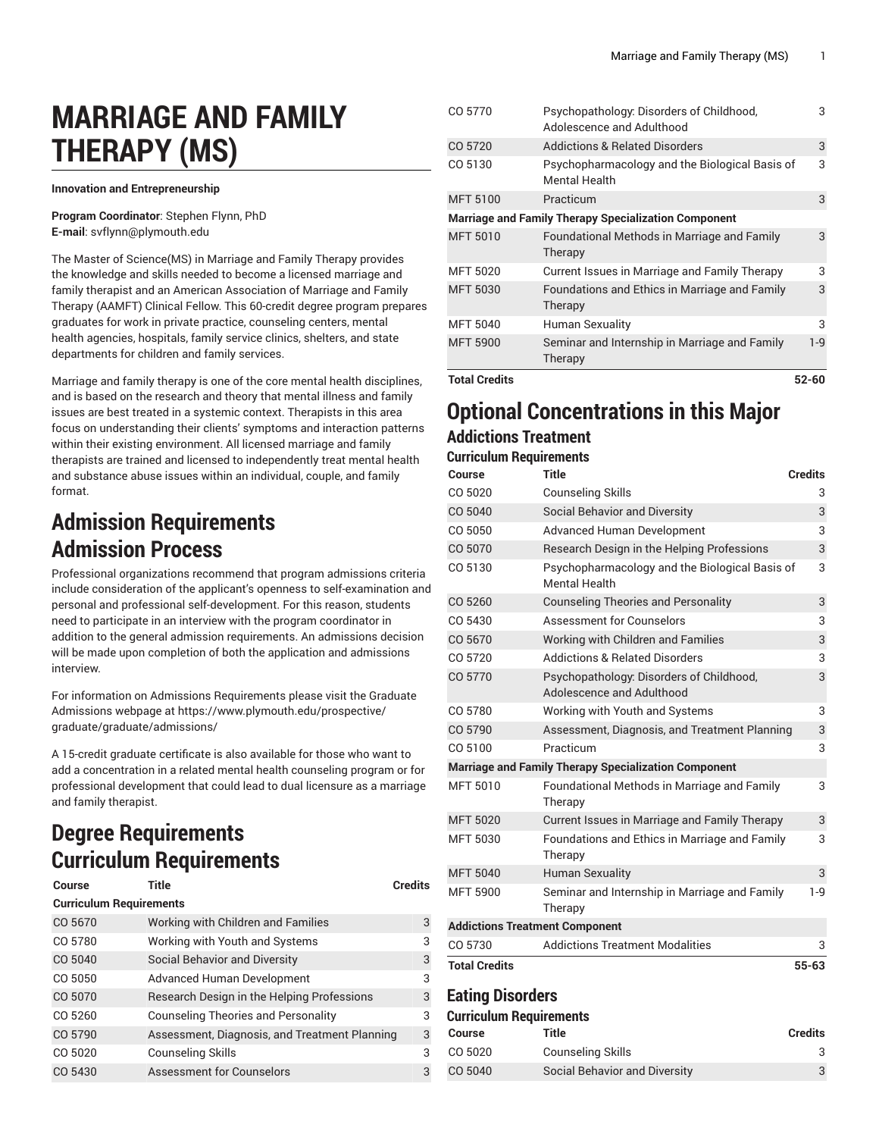# **MARRIAGE AND FAMILY THERAPY (MS)**

**Innovation and Entrepreneurship**

**Program Coordinator**: Stephen Flynn, PhD **E-mail**: [svflynn@plymouth.edu](mailto:svflynn@plymouth.edu)

The Master of Science(MS) in Marriage and Family Therapy provides the knowledge and skills needed to become a licensed marriage and family therapist and an American Association of Marriage and Family Therapy (AAMFT) Clinical Fellow. This 60-credit degree program prepares graduates for work in private practice, counseling centers, mental health agencies, hospitals, family service clinics, shelters, and state departments for children and family services.

Marriage and family therapy is one of the core mental health disciplines, and is based on the research and theory that mental illness and family issues are best treated in a systemic context. Therapists in this area focus on understanding their clients' symptoms and interaction patterns within their existing environment. All licensed marriage and family therapists are trained and licensed to independently treat mental health and substance abuse issues within an individual, couple, and family format.

### **Admission Requirements Admission Process**

Professional organizations recommend that program admissions criteria include consideration of the applicant's openness to self-examination and personal and professional self-development. For this reason, students need to participate in an interview with the program coordinator in addition to the general admission requirements. An admissions decision will be made upon completion of both the application and admissions interview.

For information on Admissions Requirements please visit the Graduate Admissions webpage at [https://www.plymouth.edu/prospective/](https://www.plymouth.edu/prospective/graduate/graduate/admissions/) [graduate/graduate/admissions/](https://www.plymouth.edu/prospective/graduate/graduate/admissions/)

A 15-credit graduate certificate is also available for those who want to add a concentration in a related mental health counseling program or for professional development that could lead to dual licensure as a marriage and family therapist.

### **Degree Requirements Curriculum Requirements**

| <b>Course</b>                  | <b>Title</b>                                  | <b>Credits</b> |  |
|--------------------------------|-----------------------------------------------|----------------|--|
| <b>Curriculum Requirements</b> |                                               |                |  |
| CO 5670                        | Working with Children and Families            | 3              |  |
| CO 5780                        | Working with Youth and Systems                | 3              |  |
| CO 5040                        | Social Behavior and Diversity                 | 3              |  |
| CO 5050                        | Advanced Human Development                    | 3              |  |
| CO 5070                        | Research Design in the Helping Professions    | 3              |  |
| CO 5260                        | <b>Counseling Theories and Personality</b>    | 3              |  |
| CO 5790                        | Assessment, Diagnosis, and Treatment Planning | 3              |  |
| CO 5020                        | Counseling Skills                             | 3              |  |
| CO 5430                        | Assessment for Counselors                     | 3              |  |

| <b>Total Credits</b> |                                                                        | 52-60 |
|----------------------|------------------------------------------------------------------------|-------|
| <b>MFT 5900</b>      | Seminar and Internship in Marriage and Family<br>Therapy               | $1-9$ |
| <b>MFT 5040</b>      | Human Sexuality                                                        | 3     |
| <b>MFT 5030</b>      | Foundations and Ethics in Marriage and Family<br>Therapy               | 3     |
| <b>MFT 5020</b>      | Current Issues in Marriage and Family Therapy                          | 3     |
| <b>MFT 5010</b>      | Foundational Methods in Marriage and Family<br>Therapy                 | 3     |
|                      | <b>Marriage and Family Therapy Specialization Component</b>            |       |
| <b>MFT 5100</b>      | Practicum                                                              | 3     |
| CO 5130              | Psychopharmacology and the Biological Basis of<br><b>Mental Health</b> | 3     |
| CO 5720              | <b>Addictions &amp; Related Disorders</b>                              | 3     |
| CO 5770              | Psychopathology: Disorders of Childhood,<br>Adolescence and Adulthood  | 3     |

#### **Optional Concentrations in this Major Addictions Treatment**

#### **Curriculum Requirements**

| Course                                                      | <b>Title</b>                                                           | <b>Credits</b> |
|-------------------------------------------------------------|------------------------------------------------------------------------|----------------|
| CO 5020                                                     | <b>Counseling Skills</b>                                               | 3              |
| CO 5040                                                     | <b>Social Behavior and Diversity</b>                                   | 3              |
| CO 5050                                                     | <b>Advanced Human Development</b>                                      | 3              |
| CO 5070                                                     | Research Design in the Helping Professions                             | 3              |
| CO 5130                                                     | Psychopharmacology and the Biological Basis of<br><b>Mental Health</b> | 3              |
| CO 5260                                                     | <b>Counseling Theories and Personality</b>                             | 3              |
| CO 5430                                                     | <b>Assessment for Counselors</b>                                       | 3              |
| CO 5670                                                     | Working with Children and Families                                     | 3              |
| CO 5720                                                     | <b>Addictions &amp; Related Disorders</b>                              | 3              |
| CO 5770                                                     | Psychopathology: Disorders of Childhood,<br>Adolescence and Adulthood  | 3              |
| CO 5780                                                     | Working with Youth and Systems                                         | 3              |
| CO 5790                                                     | Assessment, Diagnosis, and Treatment Planning                          | 3              |
| CO 5100                                                     | Practicum                                                              | 3              |
| <b>Marriage and Family Therapy Specialization Component</b> |                                                                        |                |
| MFT 5010                                                    | Foundational Methods in Marriage and Family<br>Therapy                 | 3              |
| <b>MFT 5020</b>                                             | Current Issues in Marriage and Family Therapy                          | 3              |
| <b>MFT 5030</b>                                             | Foundations and Ethics in Marriage and Family<br>Therapy               | 3              |
| <b>MFT 5040</b>                                             | <b>Human Sexuality</b>                                                 | 3              |
| <b>MFT 5900</b>                                             | Seminar and Internship in Marriage and Family<br>Therapy               | 1-9            |
| <b>Addictions Treatment Component</b>                       |                                                                        |                |
| CO 5730                                                     | <b>Addictions Treatment Modalities</b>                                 | 3              |
| <b>Total Credits</b>                                        |                                                                        | $55 - 63$      |
| <b>Eating Disorders</b><br><b>Curriculum Requirements</b>   |                                                                        |                |

#### **Course Title Credits** CO 5020 Counseling Skills 3 CO 5040 Social Behavior and Diversity 3